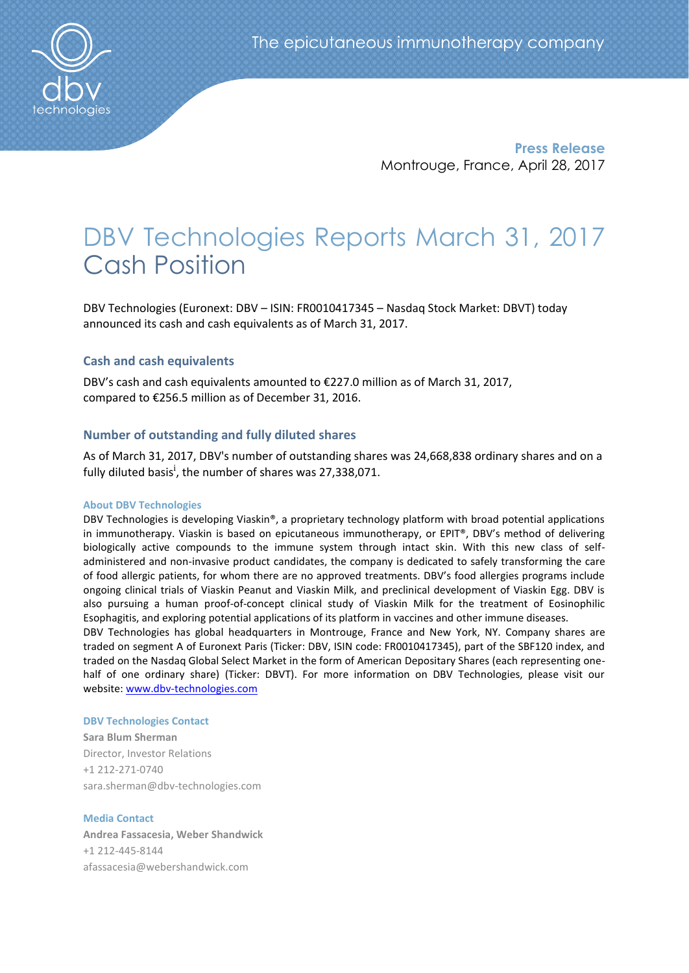

**Press Release** Montrouge, France, April 28, 2017

# DBV Technologies Reports March 31, 2017 Cash Position

DBV Technologies (Euronext: DBV – ISIN: FR0010417345 – Nasdaq Stock Market: DBVT) today announced its cash and cash equivalents as of March 31, 2017.

## **Cash and cash equivalents**

DBV's cash and cash equivalents amounted to €227.0 million as of March 31, 2017, compared to €256.5 million as of December 31, 2016.

## **Number of outstanding and fully diluted shares**

As of March 31, 2017, DBV's number of outstanding shares was 24,668,838 ordinary shares and on a fully diluted basis<sup>i</sup>, the number of shares was 27,338,071.

### **About DBV Technologies**

DBV Technologies is developing Viaskin®, a proprietary technology platform with broad potential applications in immunotherapy. Viaskin is based on epicutaneous immunotherapy, or EPIT®, DBV's method of delivering biologically active compounds to the immune system through intact skin. With this new class of selfadministered and non-invasive product candidates, the company is dedicated to safely transforming the care of food allergic patients, for whom there are no approved treatments. DBV's food allergies programs include ongoing clinical trials of Viaskin Peanut and Viaskin Milk, and preclinical development of Viaskin Egg. DBV is also pursuing a human proof-of-concept clinical study of Viaskin Milk for the treatment of Eosinophilic Esophagitis, and exploring potential applications of its platform in vaccines and other immune diseases.

DBV Technologies has global headquarters in Montrouge, France and New York, NY. Company shares are traded on segment A of Euronext Paris (Ticker: DBV, ISIN code: FR0010417345), part of the SBF120 index, and traded on the Nasdaq Global Select Market in the form of American Depositary Shares (each representing onehalf of one ordinary share) (Ticker: DBVT). For more information on DBV Technologies, please visit our website: [www.dbv-technologies.com](http://www.dbv-technologies.com/)

#### **DBV Technologies Contact**

**Sara Blum Sherman** Director, Investor Relations +1 212-271-0740 [sara.sherman@dbv-technologies.com](mailto:susanna.mesa@dbv-technologies.com)

## **Media Contact**

**Andrea Fassacesia, Weber Shandwick** +1 212-445-8144 [afassacesia@webershandwick.com](mailto:afassacesia@webershandwick.com)